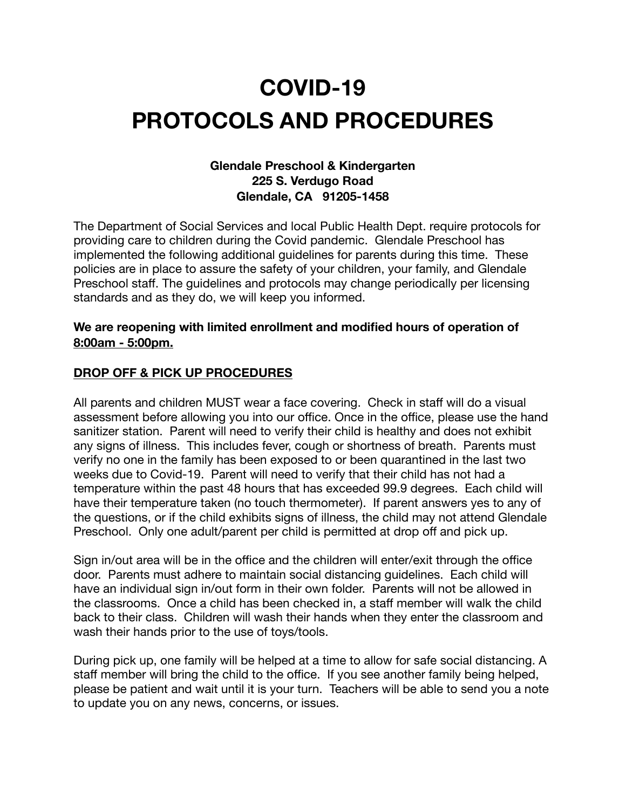# **COVID-19 PROTOCOLS AND PROCEDURES**

## **Glendale Preschool & Kindergarten 225 S. Verdugo Road Glendale, CA 91205-1458**

The Department of Social Services and local Public Health Dept. require protocols for providing care to children during the Covid pandemic. Glendale Preschool has implemented the following additional guidelines for parents during this time. These policies are in place to assure the safety of your children, your family, and Glendale Preschool staff. The guidelines and protocols may change periodically per licensing standards and as they do, we will keep you informed.

#### **We are reopening with limited enrollment and modified hours of operation of 8:00am - 5:00pm.**

## **DROP OFF & PICK UP PROCEDURES**

All parents and children MUST wear a face covering. Check in staff will do a visual assessment before allowing you into our office. Once in the office, please use the hand sanitizer station. Parent will need to verify their child is healthy and does not exhibit any signs of illness. This includes fever, cough or shortness of breath. Parents must verify no one in the family has been exposed to or been quarantined in the last two weeks due to Covid-19. Parent will need to verify that their child has not had a temperature within the past 48 hours that has exceeded 99.9 degrees. Each child will have their temperature taken (no touch thermometer). If parent answers yes to any of the questions, or if the child exhibits signs of illness, the child may not attend Glendale Preschool. Only one adult/parent per child is permitted at drop off and pick up.

Sign in/out area will be in the office and the children will enter/exit through the office door. Parents must adhere to maintain social distancing guidelines. Each child will have an individual sign in/out form in their own folder. Parents will not be allowed in the classrooms. Once a child has been checked in, a staff member will walk the child back to their class. Children will wash their hands when they enter the classroom and wash their hands prior to the use of toys/tools.

During pick up, one family will be helped at a time to allow for safe social distancing. A staff member will bring the child to the office. If you see another family being helped, please be patient and wait until it is your turn. Teachers will be able to send you a note to update you on any news, concerns, or issues.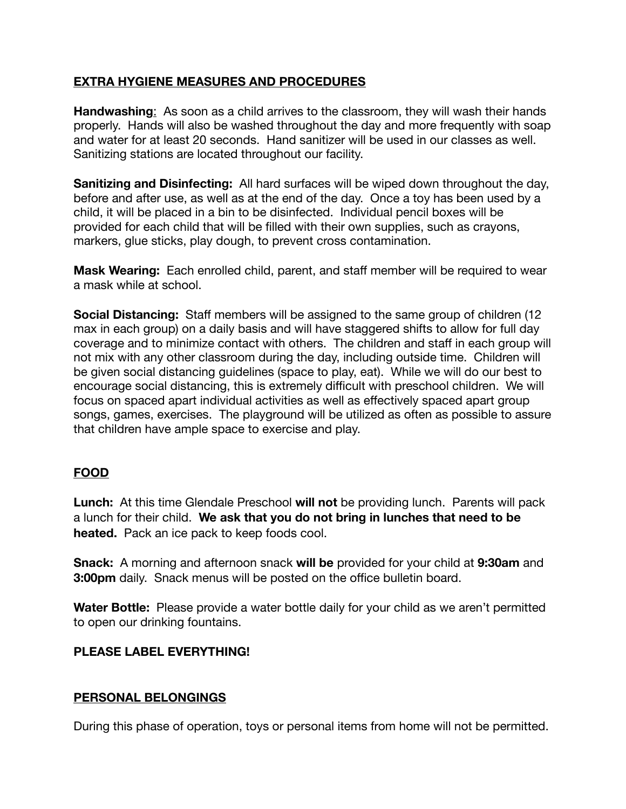## **EXTRA HYGIENE MEASURES AND PROCEDURES**

**Handwashing**: As soon as a child arrives to the classroom, they will wash their hands properly. Hands will also be washed throughout the day and more frequently with soap and water for at least 20 seconds. Hand sanitizer will be used in our classes as well. Sanitizing stations are located throughout our facility.

**Sanitizing and Disinfecting:** All hard surfaces will be wiped down throughout the day, before and after use, as well as at the end of the day. Once a toy has been used by a child, it will be placed in a bin to be disinfected. Individual pencil boxes will be provided for each child that will be filled with their own supplies, such as crayons, markers, glue sticks, play dough, to prevent cross contamination.

**Mask Wearing:** Each enrolled child, parent, and staff member will be required to wear a mask while at school.

**Social Distancing:** Staff members will be assigned to the same group of children (12 max in each group) on a daily basis and will have staggered shifts to allow for full day coverage and to minimize contact with others. The children and staff in each group will not mix with any other classroom during the day, including outside time. Children will be given social distancing guidelines (space to play, eat). While we will do our best to encourage social distancing, this is extremely difficult with preschool children. We will focus on spaced apart individual activities as well as effectively spaced apart group songs, games, exercises. The playground will be utilized as often as possible to assure that children have ample space to exercise and play.

#### **FOOD**

**Lunch:** At this time Glendale Preschool **will not** be providing lunch. Parents will pack a lunch for their child. **We ask that you do not bring in lunches that need to be heated.** Pack an ice pack to keep foods cool.

**Snack:** A morning and afternoon snack **will be** provided for your child at **9:30am** and **3:00pm** daily. Snack menus will be posted on the office bulletin board.

**Water Bottle:** Please provide a water bottle daily for your child as we aren't permitted to open our drinking fountains.

## **PLEASE LABEL EVERYTHING!**

#### **PERSONAL BELONGINGS**

During this phase of operation, toys or personal items from home will not be permitted.